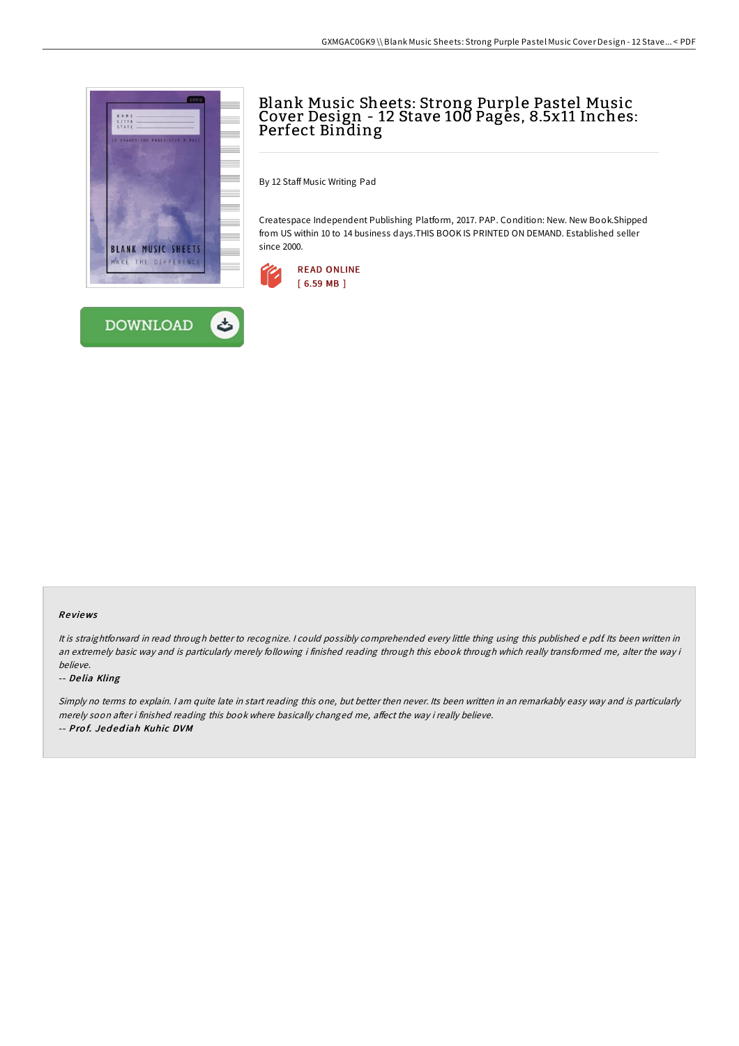



# Blank Music Sheets: Strong Purple Pastel Music Cover Design - 12 Stave 100 Pages, 8.5x11 Inches: Perfect Binding

By 12 Staff Music Writing Pad

Createspace Independent Publishing Platform, 2017. PAP. Condition: New. New Book.Shipped from US within 10 to 14 business days.THIS BOOK IS PRINTED ON DEMAND. Established seller since 2000.



### Re views

It is straightforward in read through better to recognize. <sup>I</sup> could possibly comprehended every little thing using this published <sup>e</sup> pdf. Its been written in an extremely basic way and is particularly merely following i finished reading through this ebook through which really transformed me, alter the way i believe.

#### -- De lia Kling

Simply no terms to explain. I am quite late in start reading this one, but better then never. Its been written in an remarkably easy way and is particularly merely soon after i finished reading this book where basically changed me, affect the way i really believe. -- Prof. Jedediah Kuhic DVM